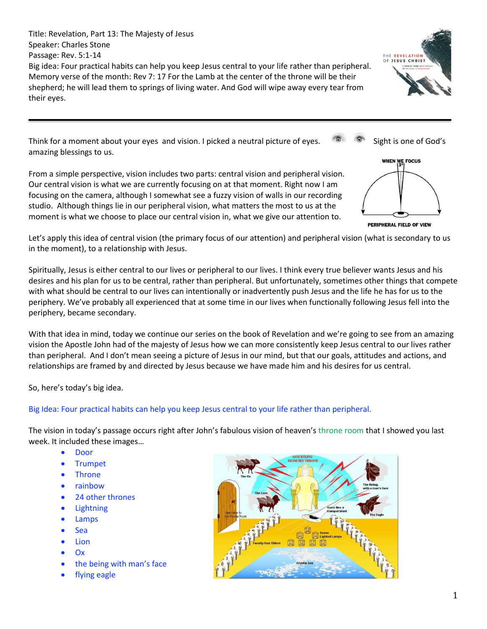Title: Revelation, Part 13: The Majesty of Jesus Speaker: Charles Stone Passage: Rev. 5:1-14 Big idea: Four practical habits can help you keep Jesus central to your life rather than peripheral. Memory verse of the month: Rev 7: 17 For the Lamb at the center of the throne will be their shepherd; he will lead them to springs of living water. And God will wipe away every tear from their eyes.

THE REVELATION OF JESUS CHRIST

Think for a moment about your eyes and vision. I picked a neutral picture of eyes.  $\bullet$  Sight is one of God's amazing blessings to us.

From a simple perspective, vision includes two parts: central vision and peripheral vision. Our central vision is what we are currently focusing on at that moment. Right now I am focusing on the camera, although I somewhat see a fuzzy vision of walls in our recording studio. Although things lie in our peripheral vision, what matters the most to us at the moment is what we choose to place our central vision in, what we give our attention to.



Let's apply this idea of central vision (the primary focus of our attention) and peripheral vision (what is secondary to us in the moment), to a relationship with Jesus.

Spiritually, Jesus is either central to our lives or peripheral to our lives. I think every true believer wants Jesus and his desires and his plan for us to be central, rather than peripheral. But unfortunately, sometimes other things that compete with what should be central to our lives can intentionally or inadvertently push Jesus and the life he has for us to the periphery. We've probably all experienced that at some time in our lives when functionally following Jesus fell into the periphery, became secondary.

With that idea in mind, today we continue our series on the book of Revelation and we're going to see from an amazing vision the Apostle John had of the majesty of Jesus how we can more consistently keep Jesus central to our lives rather than peripheral. And I don't mean seeing a picture of Jesus in our mind, but that our goals, attitudes and actions, and relationships are framed by and directed by Jesus because we have made him and his desires for us central.

So, here's today's big idea.

# Big Idea: Four practical habits can help you keep Jesus central to your life rather than peripheral.

The vision in today's passage occurs right after John's fabulous vision of heaven's throne room that I showed you last week. It included these images…

- Door
- Trumpet
- Throne
- rainbow
- 24 other thrones
- Lightning
- Lamps
- Sea
- Lion
- Ox
- the being with man's face
- flying eagle

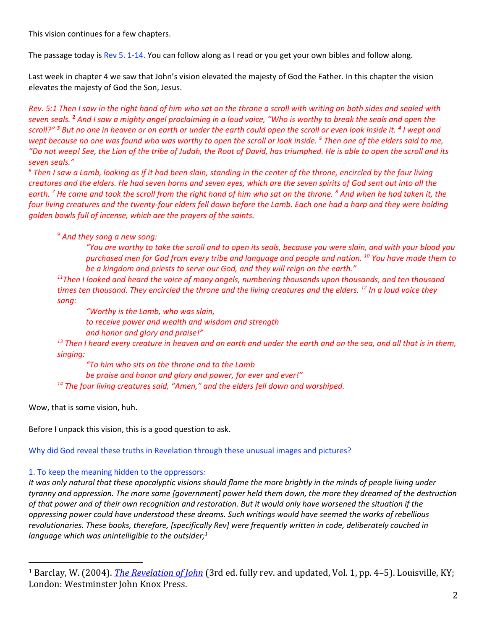This vision continues for a few chapters.

The passage today is Rev 5. 1-14. You can follow along as I read or you get your own bibles and follow along.

Last week in chapter 4 we saw that John's vision elevated the majesty of God the Father. In this chapter the vision elevates the majesty of God the Son, Jesus.

*Rev. 5:1 Then I saw in the right hand of him who sat on the throne a scroll with writing on both sides and sealed with seven seals. <sup>2</sup> And I saw a mighty angel proclaiming in a loud voice, "Who is worthy to break the seals and open the scroll?" <sup>3</sup> But no one in heaven or on earth or under the earth could open the scroll or even look inside it. <sup>4</sup> I wept and wept because no one was found who was worthy to open the scroll or look inside. <sup>5</sup> Then one of the elders said to me, "Do not weep! See, the Lion of the tribe of Judah, the Root of David, has triumphed. He is able to open the scroll and its seven seals."*

*<sup>6</sup> Then I saw a Lamb, looking as if it had been slain, standing in the center of the throne, encircled by the four living creatures and the elders. He had seven horns and seven eyes, which are the seven spirits of God sent out into all the earth. <sup>7</sup> He came and took the scroll from the right hand of him who sat on the throne. <sup>8</sup> And when he had taken it, the four living creatures and the twenty-four elders fell down before the Lamb. Each one had a harp and they were holding golden bowls full of incense, which are the prayers of the saints.*

*<sup>9</sup> And they sang a new song:* 

*"You are worthy to take the scroll and to open its seals, because you were slain, and with your blood you purchased men for God from every tribe and language and people and nation. <sup>10</sup> You have made them to be a kingdom and priests to serve our God, and they will reign on the earth."*

*<sup>11</sup>Then I looked and heard the voice of many angels, numbering thousands upon thousands, and ten thousand times ten thousand. They encircled the throne and the living creatures and the elders. <sup>12</sup> In a loud voice they sang:*

*"Worthy is the Lamb, who was slain, to receive power and wealth and wisdom and strength and honor and glory and praise!" <sup>13</sup> Then I heard every creature in heaven and on earth and under the earth and on the sea, and all that is in them, singing:*

*"To him who sits on the throne and to the Lamb be praise and honor and glory and power, for ever and ever!" <sup>14</sup> The four living creatures said, "Amen," and the elders fell down and worshiped.*

Wow, that is some vision, huh.

Before I unpack this vision, this is a good question to ask.

Why did God reveal these truths in Revelation through these unusual images and pictures?

# 1. To keep the meaning hidden to the oppressors*:*

*It was only natural that these apocalyptic visions should flame the more brightly in the minds of people living under tyranny and oppression. The more some [government] power held them down, the more they dreamed of the destruction of that power and of their own recognition and restoration. But it would only have worsened the situation if the oppressing power could have understood these dreams. Such writings would have seemed the works of rebellious revolutionaries. These books, therefore, [specifically Rev] were frequently written in code, deliberately couched in language which was unintelligible to the outsider;<sup>1</sup>*

<sup>1</sup> Barclay, W. (2004). *[The Revelation of John](https://ref.ly/logosres/ndsb87rev01?ref=Page.p+4&off=1268&ctx=nt+the+unpaintable.%0a~This+is+further+comp)* (3rd ed. fully rev. and updated, Vol. 1, pp. 4–5). Louisville, KY; London: Westminster John Knox Press.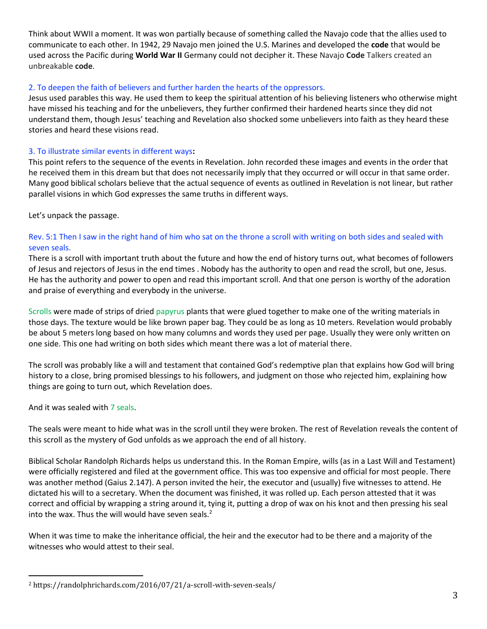Think about WWII a moment. It was won partially because of something called the Navajo code that the allies used to communicate to each other. In 1942, 29 Navajo men joined the U.S. Marines and developed the **code** that would be used across the Pacific during **World War II** Germany could not decipher it. These Navajo **Code** Talkers created an unbreakable **code**.

# 2. To deepen the faith of believers and further harden the hearts of the oppressors.

Jesus used parables this way. He used them to keep the spiritual attention of his believing listeners who otherwise might have missed his teaching and for the unbelievers, they further confirmed their hardened hearts since they did not understand them, though Jesus' teaching and Revelation also shocked some unbelievers into faith as they heard these stories and heard these visions read.

## 3. To illustrate similar events in different ways**:**

This point refers to the sequence of the events in Revelation. John recorded these images and events in the order that he received them in this dream but that does not necessarily imply that they occurred or will occur in that same order. Many good biblical scholars believe that the actual sequence of events as outlined in Revelation is not linear, but rather parallel visions in which God expresses the same truths in different ways.

Let's unpack the passage.

## Rev. 5:1 Then I saw in the right hand of him who sat on the throne a scroll with writing on both sides and sealed with seven seals.

There is a scroll with important truth about the future and how the end of history turns out, what becomes of followers of Jesus and rejectors of Jesus in the end times . Nobody has the authority to open and read the scroll, but one, Jesus. He has the authority and power to open and read this important scroll. And that one person is worthy of the adoration and praise of everything and everybody in the universe.

Scrolls were made of strips of dried papyrus plants that were glued together to make one of the writing materials in those days. The texture would be like brown paper bag. They could be as long as 10 meters. Revelation would probably be about 5 meters long based on how many columns and words they used per page. Usually they were only written on one side. This one had writing on both sides which meant there was a lot of material there.

The scroll was probably like a will and testament that contained God's redemptive plan that explains how God will bring history to a close, bring promised blessings to his followers, and judgment on those who rejected him, explaining how things are going to turn out, which Revelation does.

And it was sealed with 7 seals.

The seals were meant to hide what was in the scroll until they were broken. The rest of Revelation reveals the content of this scroll as the mystery of God unfolds as we approach the end of all history.

Biblical Scholar Randolph Richards helps us understand this. In the Roman Empire, wills (as in a Last Will and Testament) were officially registered and filed at the government office. This was too expensive and official for most people. There was another method (Gaius 2.147). A person invited the heir, the executor and (usually) five witnesses to attend. He dictated his will to a secretary. When the document was finished, it was rolled up. Each person attested that it was correct and official by wrapping a string around it, tying it, putting a drop of wax on his knot and then pressing his seal into the wax. Thus the will would have seven seals. $<sup>2</sup>$ </sup>

When it was time to make the inheritance official, the heir and the executor had to be there and a majority of the witnesses who would attest to their seal.

<sup>2</sup> https://randolphrichards.com/2016/07/21/a-scroll-with-seven-seals/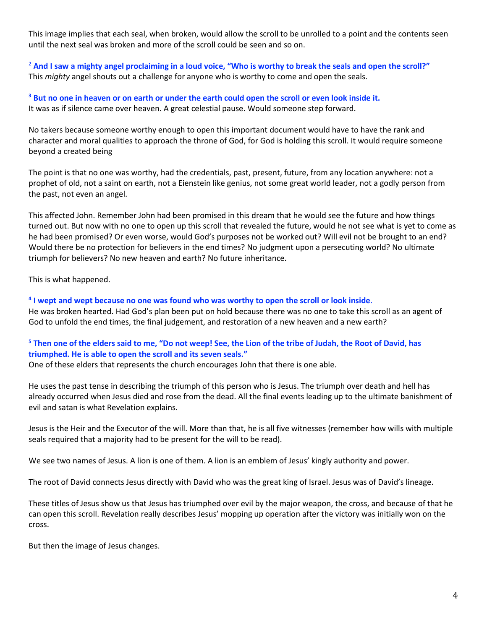This image implies that each seal, when broken, would allow the scroll to be unrolled to a point and the contents seen until the next seal was broken and more of the scroll could be seen and so on.

<sup>2</sup> And I saw a mighty angel proclaiming in a loud voice, "Who is worthy to break the seals and open the scroll?" This *mighty* angel shouts out a challenge for anyone who is worthy to come and open the seals.

**<sup>3</sup> But no one in heaven or on earth or under the earth could open the scroll or even look inside it.**  It was as if silence came over heaven. A great celestial pause. Would someone step forward.

No takers because someone worthy enough to open this important document would have to have the rank and character and moral qualities to approach the throne of God, for God is holding this scroll. It would require someone beyond a created being

The point is that no one was worthy, had the credentials, past, present, future, from any location anywhere: not a prophet of old, not a saint on earth, not a Eienstein like genius, not some great world leader, not a godly person from the past, not even an angel.

This affected John. Remember John had been promised in this dream that he would see the future and how things turned out. But now with no one to open up this scroll that revealed the future, would he not see what is yet to come as he had been promised? Or even worse, would God's purposes not be worked out? Will evil not be brought to an end? Would there be no protection for believers in the end times? No judgment upon a persecuting world? No ultimate triumph for believers? No new heaven and earth? No future inheritance.

This is what happened.

**4 I wept and wept because no one was found who was worthy to open the scroll or look inside**. He was broken hearted. Had God's plan been put on hold because there was no one to take this scroll as an agent of God to unfold the end times, the final judgement, and restoration of a new heaven and a new earth?

# **<sup>5</sup> Then one of the elders said to me, "Do not weep! See, the Lion of the tribe of Judah, the Root of David, has triumphed. He is able to open the scroll and its seven seals."**

One of these elders that represents the church encourages John that there is one able.

He uses the past tense in describing the triumph of this person who is Jesus. The triumph over death and hell has already occurred when Jesus died and rose from the dead. All the final events leading up to the ultimate banishment of evil and satan is what Revelation explains.

Jesus is the Heir and the Executor of the will. More than that, he is all five witnesses (remember how wills with multiple seals required that a majority had to be present for the will to be read).

We see two names of Jesus. A lion is one of them. A lion is an emblem of Jesus' kingly authority and power.

The root of David connects Jesus directly with David who was the great king of Israel. Jesus was of David's lineage.

These titles of Jesus show us that Jesus has triumphed over evil by the major weapon, the cross, and because of that he can open this scroll. Revelation really describes Jesus' mopping up operation after the victory was initially won on the cross.

But then the image of Jesus changes.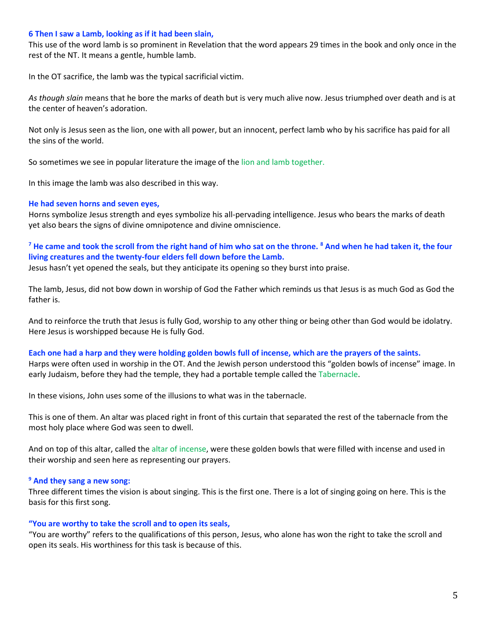#### **6 Then I saw a Lamb, looking as if it had been slain,**

This use of the word lamb is so prominent in Revelation that the word appears 29 times in the book and only once in the rest of the NT. It means a gentle, humble lamb.

In the OT sacrifice, the lamb was the typical sacrificial victim.

*As though slain* means that he bore the marks of death but is very much alive now. Jesus triumphed over death and is at the center of heaven's adoration.

Not only is Jesus seen as the lion, one with all power, but an innocent, perfect lamb who by his sacrifice has paid for all the sins of the world.

So sometimes we see in popular literature the image of the lion and lamb together.

In this image the lamb was also described in this way.

#### **He had seven horns and seven eyes,**

Horns symbolize Jesus strength and eyes symbolize his all-pervading intelligence. Jesus who bears the marks of death yet also bears the signs of divine omnipotence and divine omniscience.

# **<sup>7</sup> He came and took the scroll from the right hand of him who sat on the throne. <sup>8</sup> And when he had taken it, the four living creatures and the twenty-four elders fell down before the Lamb.**

Jesus hasn't yet opened the seals, but they anticipate its opening so they burst into praise.

The lamb, Jesus, did not bow down in worship of God the Father which reminds us that Jesus is as much God as God the father is.

And to reinforce the truth that Jesus is fully God, worship to any other thing or being other than God would be idolatry. Here Jesus is worshipped because He is fully God.

#### **Each one had a harp and they were holding golden bowls full of incense, which are the prayers of the saints.**  Harps were often used in worship in the OT. And the Jewish person understood this "golden bowls of incense" image. In early Judaism, before they had the temple, they had a portable temple called the Tabernacle.

In these visions, John uses some of the illusions to what was in the tabernacle.

This is one of them. An altar was placed right in front of this curtain that separated the rest of the tabernacle from the most holy place where God was seen to dwell.

And on top of this altar, called the altar of incense, were these golden bowls that were filled with incense and used in their worship and seen here as representing our prayers.

#### **<sup>9</sup> And they sang a new song:**

Three different times the vision is about singing. This is the first one. There is a lot of singing going on here. This is the basis for this first song.

#### **"You are worthy to take the scroll and to open its seals,**

"You are worthy" refers to the qualifications of this person, Jesus, who alone has won the right to take the scroll and open its seals. His worthiness for this task is because of this.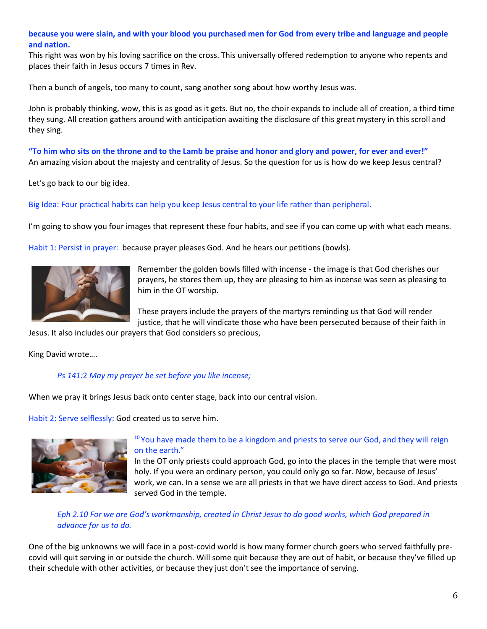## **because you were slain, and with your blood you purchased men for God from every tribe and language and people and nation.**

This right was won by his loving sacrifice on the cross. This universally offered redemption to anyone who repents and places their faith in Jesus occurs 7 times in Rev.

Then a bunch of angels, too many to count, sang another song about how worthy Jesus was.

John is probably thinking, wow, this is as good as it gets. But no, the choir expands to include all of creation, a third time they sung. All creation gathers around with anticipation awaiting the disclosure of this great mystery in this scroll and they sing.

**"To him who sits on the throne and to the Lamb be praise and honor and glory and power, for ever and ever!"** An amazing vision about the majesty and centrality of Jesus. So the question for us is how do we keep Jesus central?

Let's go back to our big idea.

Big Idea: Four practical habits can help you keep Jesus central to your life rather than peripheral.

I'm going to show you four images that represent these four habits, and see if you can come up with what each means.

Habit 1: Persist in prayer: because prayer pleases God. And he hears our petitions (bowls).



Remember the golden bowls filled with incense - the image is that God cherishes our prayers, he stores them up, they are pleasing to him as incense was seen as pleasing to him in the OT worship.

These prayers include the prayers of the martyrs reminding us that God will render justice, that he will vindicate those who have been persecuted because of their faith in

Jesus. It also includes our prayers that God considers so precious,

King David wrote….

#### *Ps 141:*2 *May my prayer be set before you like incense;*

When we pray it brings Jesus back onto center stage, back into our central vision.

Habit 2: Serve selflessly: God created us to serve him.



#### $10$  You have made them to be a kingdom and priests to serve our God, and they will reign on the earth."

In the OT only priests could approach God, go into the places in the temple that were most holy. If you were an ordinary person, you could only go so far. Now, because of Jesus' work, we can. In a sense we are all priests in that we have direct access to God. And priests served God in the temple.

## *Eph 2.10 For we are God's workmanship, created in Christ Jesus to do good works, which God prepared in advance for us to do.*

One of the big unknowns we will face in a post-covid world is how many former church goers who served faithfully precovid will quit serving in or outside the church. Will some quit because they are out of habit, or because they've filled up their schedule with other activities, or because they just don't see the importance of serving.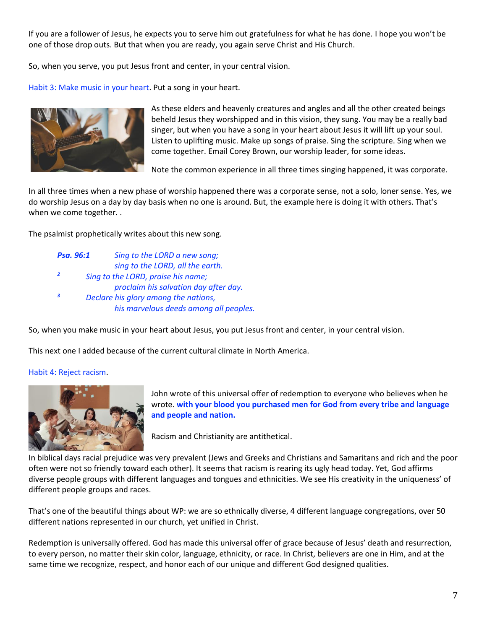If you are a follower of Jesus, he expects you to serve him out gratefulness for what he has done. I hope you won't be one of those drop outs. But that when you are ready, you again serve Christ and His Church.

So, when you serve, you put Jesus front and center, in your central vision.

Habit 3: Make music in your heart. Put a song in your heart.



As these elders and heavenly creatures and angles and all the other created beings beheld Jesus they worshipped and in this vision, they sung. You may be a really bad singer, but when you have a song in your heart about Jesus it will lift up your soul. Listen to uplifting music. Make up songs of praise. Sing the scripture. Sing when we come together. Email Corey Brown, our worship leader, for some ideas.

Note the common experience in all three times singing happened, it was corporate.

In all three times when a new phase of worship happened there was a corporate sense, not a solo, loner sense. Yes, we do worship Jesus on a day by day basis when no one is around. But, the example here is doing it with others. That's when we come together. .

The psalmist prophetically writes about this new song.

*Psa. 96:1 Sing to the LORD a new song; sing to the LORD, all the earth. 2 Sing to the LORD, praise his name; proclaim his salvation day after day. <sup>3</sup> Declare his glory among the nations, his marvelous deeds among all peoples.*

So, when you make music in your heart about Jesus, you put Jesus front and center, in your central vision.

This next one I added because of the current cultural climate in North America.

#### Habit 4: Reject racism.



John wrote of this universal offer of redemption to everyone who believes when he wrote. **with your blood you purchased men for God from every tribe and language and people and nation.**

Racism and Christianity are antithetical.

In biblical days racial prejudice was very prevalent (Jews and Greeks and Christians and Samaritans and rich and the poor often were not so friendly toward each other). It seems that racism is rearing its ugly head today. Yet, God affirms diverse people groups with different languages and tongues and ethnicities. We see His creativity in the uniqueness' of different people groups and races.

That's one of the beautiful things about WP: we are so ethnically diverse, 4 different language congregations, over 50 different nations represented in our church, yet unified in Christ.

Redemption is universally offered. God has made this universal offer of grace because of Jesus' death and resurrection, to every person, no matter their skin color, language, ethnicity, or race. In Christ, believers are one in Him, and at the same time we recognize, respect, and honor each of our unique and different God designed qualities.